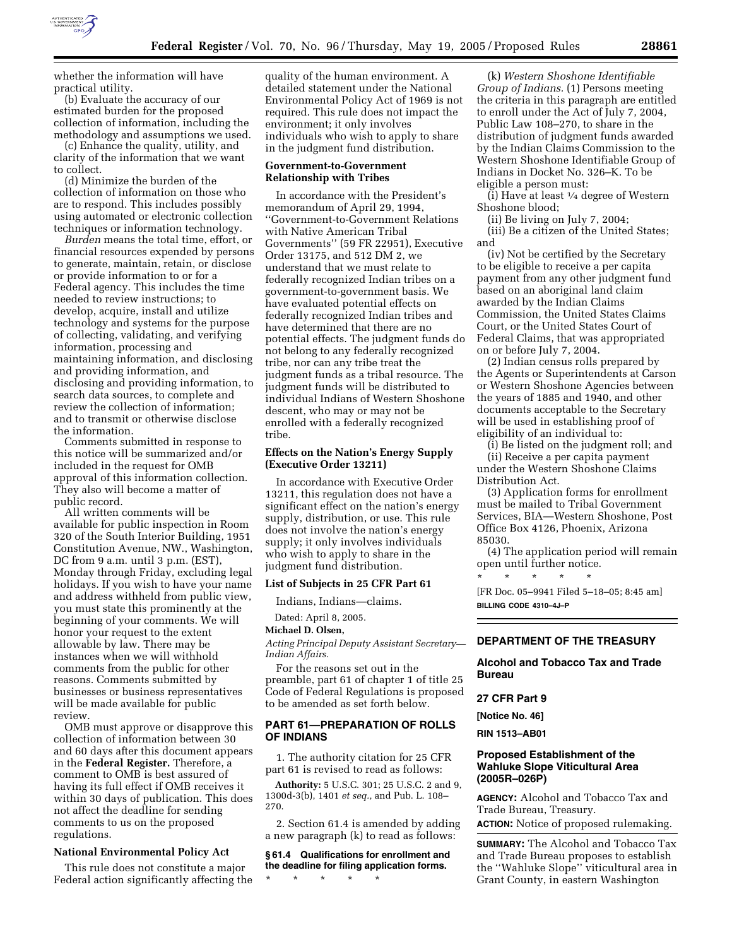

whether the information will have practical utility.

(b) Evaluate the accuracy of our estimated burden for the proposed collection of information, including the methodology and assumptions we used.

(c) Enhance the quality, utility, and clarity of the information that we want to collect.

(d) Minimize the burden of the collection of information on those who are to respond. This includes possibly using automated or electronic collection techniques or information technology.

*Burden* means the total time, effort, or financial resources expended by persons to generate, maintain, retain, or disclose or provide information to or for a Federal agency. This includes the time needed to review instructions; to develop, acquire, install and utilize technology and systems for the purpose of collecting, validating, and verifying information, processing and maintaining information, and disclosing and providing information, and disclosing and providing information, to search data sources, to complete and review the collection of information; and to transmit or otherwise disclose the information.

Comments submitted in response to this notice will be summarized and/or included in the request for OMB approval of this information collection. They also will become a matter of public record.

All written comments will be available for public inspection in Room 320 of the South Interior Building, 1951 Constitution Avenue, NW., Washington, DC from 9 a.m. until 3 p.m. (EST), Monday through Friday, excluding legal holidays. If you wish to have your name and address withheld from public view, you must state this prominently at the beginning of your comments. We will honor your request to the extent allowable by law. There may be instances when we will withhold comments from the public for other reasons. Comments submitted by businesses or business representatives will be made available for public review.

OMB must approve or disapprove this collection of information between 30 and 60 days after this document appears in the **Federal Register.** Therefore, a comment to OMB is best assured of having its full effect if OMB receives it within 30 days of publication. This does not affect the deadline for sending comments to us on the proposed regulations.

#### **National Environmental Policy Act**

This rule does not constitute a major Federal action significantly affecting the

quality of the human environment. A detailed statement under the National Environmental Policy Act of 1969 is not required. This rule does not impact the environment; it only involves individuals who wish to apply to share in the judgment fund distribution.

## **Government-to-Government Relationship with Tribes**

In accordance with the President's memorandum of April 29, 1994, ''Government-to-Government Relations with Native American Tribal Governments'' (59 FR 22951), Executive Order 13175, and 512 DM 2, we understand that we must relate to federally recognized Indian tribes on a government-to-government basis. We have evaluated potential effects on federally recognized Indian tribes and have determined that there are no potential effects. The judgment funds do not belong to any federally recognized tribe, nor can any tribe treat the judgment funds as a tribal resource. The judgment funds will be distributed to individual Indians of Western Shoshone descent, who may or may not be enrolled with a federally recognized tribe.

# **Effects on the Nation's Energy Supply (Executive Order 13211)**

In accordance with Executive Order 13211, this regulation does not have a significant effect on the nation's energy supply, distribution, or use. This rule does not involve the nation's energy supply; it only involves individuals who wish to apply to share in the judgment fund distribution.

### **List of Subjects in 25 CFR Part 61**

Indians, Indians—claims.

Dated: April 8, 2005.

# **Michael D. Olsen,**

*Acting Principal Deputy Assistant Secretary— Indian Affairs.*

For the reasons set out in the preamble, part 61 of chapter 1 of title 25 Code of Federal Regulations is proposed to be amended as set forth below.

# **PART 61—PREPARATION OF ROLLS OF INDIANS**

1. The authority citation for 25 CFR part 61 is revised to read as follows:

**Authority:** 5 U.S.C. 301; 25 U.S.C. 2 and 9, 1300d-3(b), 1401 *et seq.,* and Pub. L. 108– 270.

2. Section 61.4 is amended by adding a new paragraph (k) to read as follows:

**§ 61.4 Qualifications for enrollment and the deadline for filing application forms.**

\* \* \* \* \*

(k) *Western Shoshone Identifiable Group of Indians.* (1) Persons meeting the criteria in this paragraph are entitled to enroll under the Act of July 7, 2004, Public Law 108–270, to share in the distribution of judgment funds awarded by the Indian Claims Commission to the Western Shoshone Identifiable Group of Indians in Docket No. 326–K. To be eligible a person must:

(i) Have at least 1⁄4 degree of Western Shoshone blood;

(ii) Be living on July 7, 2004;

(iii) Be a citizen of the United States; and

(iv) Not be certified by the Secretary to be eligible to receive a per capita payment from any other judgment fund based on an aboriginal land claim awarded by the Indian Claims Commission, the United States Claims Court, or the United States Court of Federal Claims, that was appropriated on or before July 7, 2004.

(2) Indian census rolls prepared by the Agents or Superintendents at Carson or Western Shoshone Agencies between the years of 1885 and 1940, and other documents acceptable to the Secretary will be used in establishing proof of eligibility of an individual to:

(i) Be listed on the judgment roll; and (ii) Receive a per capita payment under the Western Shoshone Claims Distribution Act.

(3) Application forms for enrollment must be mailed to Tribal Government Services, BIA—Western Shoshone, Post Office Box 4126, Phoenix, Arizona 85030.

(4) The application period will remain open until further notice.

\* \* \* \* \* [FR Doc. 05–9941 Filed 5–18–05; 8:45 am] **BILLING CODE 4310–4J–P**

# **DEPARTMENT OF THE TREASURY**

**Alcohol and Tobacco Tax and Trade Bureau** 

## **27 CFR Part 9**

**[Notice No. 46]** 

**RIN 1513–AB01** 

# **Proposed Establishment of the Wahluke Slope Viticultural Area (2005R–026P)**

**AGENCY:** Alcohol and Tobacco Tax and Trade Bureau, Treasury.

**ACTION:** Notice of proposed rulemaking.

**SUMMARY:** The Alcohol and Tobacco Tax and Trade Bureau proposes to establish the ''Wahluke Slope'' viticultural area in Grant County, in eastern Washington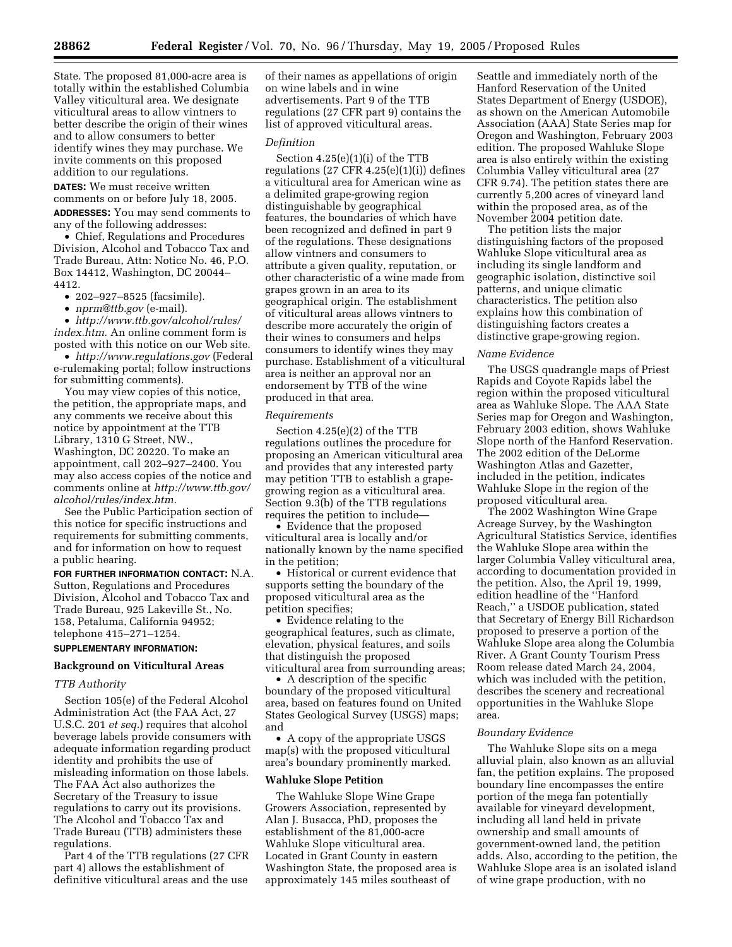State. The proposed 81,000-acre area is totally within the established Columbia Valley viticultural area. We designate viticultural areas to allow vintners to better describe the origin of their wines and to allow consumers to better identify wines they may purchase. We invite comments on this proposed addition to our regulations.

**DATES:** We must receive written comments on or before July 18, 2005.

**ADDRESSES:** You may send comments to any of the following addresses:

• Chief, Regulations and Procedures Division, Alcohol and Tobacco Tax and Trade Bureau, Attn: Notice No. 46, P.O. Box 14412, Washington, DC 20044– 4412.

• 202–927–8525 (facsimile).

• *nprm@ttb.gov* (e-mail).

• *http://www.ttb.gov/alcohol/rules/ index.htm.* An online comment form is posted with this notice on our Web site.

• *http://www.regulations.gov* (Federal e-rulemaking portal; follow instructions for submitting comments).

You may view copies of this notice, the petition, the appropriate maps, and any comments we receive about this notice by appointment at the TTB Library, 1310 G Street, NW., Washington, DC 20220. To make an appointment, call 202–927–2400. You may also access copies of the notice and comments online at *http://www.ttb.gov/ alcohol/rules/index.htm.*

See the Public Participation section of this notice for specific instructions and requirements for submitting comments, and for information on how to request a public hearing.

**FOR FURTHER INFORMATION CONTACT:** N.A. Sutton, Regulations and Procedures Division, Alcohol and Tobacco Tax and Trade Bureau, 925 Lakeville St., No. 158, Petaluma, California 94952; telephone 415–271–1254.

### **SUPPLEMENTARY INFORMATION:**

### **Background on Viticultural Areas**

## *TTB Authority*

Section 105(e) of the Federal Alcohol Administration Act (the FAA Act, 27 U.S.C. 201 *et seq.*) requires that alcohol beverage labels provide consumers with adequate information regarding product identity and prohibits the use of misleading information on those labels. The FAA Act also authorizes the Secretary of the Treasury to issue regulations to carry out its provisions. The Alcohol and Tobacco Tax and Trade Bureau (TTB) administers these regulations.

Part 4 of the TTB regulations (27 CFR part 4) allows the establishment of definitive viticultural areas and the use

of their names as appellations of origin on wine labels and in wine advertisements. Part 9 of the TTB regulations (27 CFR part 9) contains the list of approved viticultural areas.

# *Definition*

Section 4.25(e)(1)(i) of the TTB regulations  $(27 \text{ CFR } 4.25(e)(1)(i))$  defines a viticultural area for American wine as a delimited grape-growing region distinguishable by geographical features, the boundaries of which have been recognized and defined in part 9 of the regulations. These designations allow vintners and consumers to attribute a given quality, reputation, or other characteristic of a wine made from grapes grown in an area to its geographical origin. The establishment of viticultural areas allows vintners to describe more accurately the origin of their wines to consumers and helps consumers to identify wines they may purchase. Establishment of a viticultural area is neither an approval nor an endorsement by TTB of the wine produced in that area.

### *Requirements*

Section 4.25(e)(2) of the TTB regulations outlines the procedure for proposing an American viticultural area and provides that any interested party may petition TTB to establish a grapegrowing region as a viticultural area. Section 9.3(b) of the TTB regulations requires the petition to include—

• Evidence that the proposed viticultural area is locally and/or nationally known by the name specified in the petition;

• Historical or current evidence that supports setting the boundary of the proposed viticultural area as the petition specifies;

• Evidence relating to the geographical features, such as climate, elevation, physical features, and soils that distinguish the proposed viticultural area from surrounding areas;

• A description of the specific boundary of the proposed viticultural area, based on features found on United States Geological Survey (USGS) maps; and

• A copy of the appropriate USGS map(s) with the proposed viticultural area's boundary prominently marked.

## **Wahluke Slope Petition**

The Wahluke Slope Wine Grape Growers Association, represented by Alan J. Busacca, PhD, proposes the establishment of the 81,000-acre Wahluke Slope viticultural area. Located in Grant County in eastern Washington State, the proposed area is approximately 145 miles southeast of

Seattle and immediately north of the Hanford Reservation of the United States Department of Energy (USDOE), as shown on the American Automobile Association (AAA) State Series map for Oregon and Washington, February 2003 edition. The proposed Wahluke Slope area is also entirely within the existing Columbia Valley viticultural area (27 CFR 9.74). The petition states there are currently 5,200 acres of vineyard land within the proposed area, as of the November 2004 petition date.

The petition lists the major distinguishing factors of the proposed Wahluke Slope viticultural area as including its single landform and geographic isolation, distinctive soil patterns, and unique climatic characteristics. The petition also explains how this combination of distinguishing factors creates a distinctive grape-growing region.

### *Name Evidence*

The USGS quadrangle maps of Priest Rapids and Coyote Rapids label the region within the proposed viticultural area as Wahluke Slope. The AAA State Series map for Oregon and Washington, February 2003 edition, shows Wahluke Slope north of the Hanford Reservation. The 2002 edition of the DeLorme Washington Atlas and Gazetter, included in the petition, indicates Wahluke Slope in the region of the proposed viticultural area.

The 2002 Washington Wine Grape Acreage Survey, by the Washington Agricultural Statistics Service, identifies the Wahluke Slope area within the larger Columbia Valley viticultural area, according to documentation provided in the petition. Also, the April 19, 1999, edition headline of the ''Hanford Reach,'' a USDOE publication, stated that Secretary of Energy Bill Richardson proposed to preserve a portion of the Wahluke Slope area along the Columbia River. A Grant County Tourism Press Room release dated March 24, 2004, which was included with the petition, describes the scenery and recreational opportunities in the Wahluke Slope area.

### *Boundary Evidence*

The Wahluke Slope sits on a mega alluvial plain, also known as an alluvial fan, the petition explains. The proposed boundary line encompasses the entire portion of the mega fan potentially available for vineyard development, including all land held in private ownership and small amounts of government-owned land, the petition adds. Also, according to the petition, the Wahluke Slope area is an isolated island of wine grape production, with no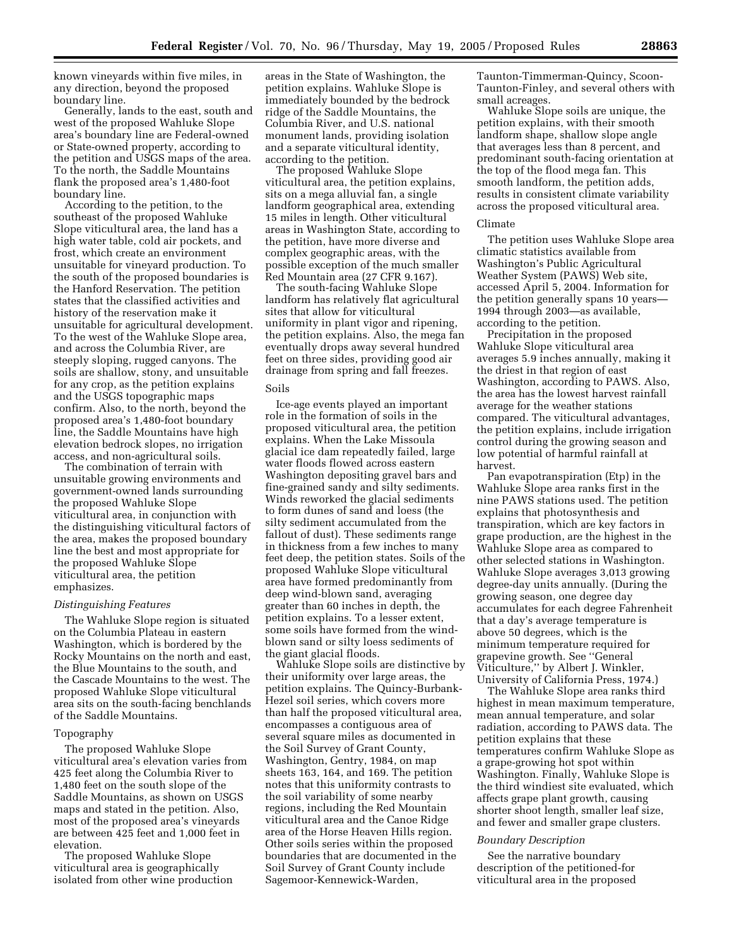known vineyards within five miles, in any direction, beyond the proposed boundary line.

Generally, lands to the east, south and west of the proposed Wahluke Slope area's boundary line are Federal-owned or State-owned property, according to the petition and USGS maps of the area. To the north, the Saddle Mountains flank the proposed area's 1,480-foot boundary line.

According to the petition, to the southeast of the proposed Wahluke Slope viticultural area, the land has a high water table, cold air pockets, and frost, which create an environment unsuitable for vineyard production. To the south of the proposed boundaries is the Hanford Reservation. The petition states that the classified activities and history of the reservation make it unsuitable for agricultural development. To the west of the Wahluke Slope area, and across the Columbia River, are steeply sloping, rugged canyons. The soils are shallow, stony, and unsuitable for any crop, as the petition explains and the USGS topographic maps confirm. Also, to the north, beyond the proposed area's 1,480-foot boundary line, the Saddle Mountains have high elevation bedrock slopes, no irrigation access, and non-agricultural soils.

The combination of terrain with unsuitable growing environments and government-owned lands surrounding the proposed Wahluke Slope viticultural area, in conjunction with the distinguishing viticultural factors of the area, makes the proposed boundary line the best and most appropriate for the proposed Wahluke Slope viticultural area, the petition emphasizes.

#### *Distinguishing Features*

The Wahluke Slope region is situated on the Columbia Plateau in eastern Washington, which is bordered by the Rocky Mountains on the north and east, the Blue Mountains to the south, and the Cascade Mountains to the west. The proposed Wahluke Slope viticultural area sits on the south-facing benchlands of the Saddle Mountains.

#### Topography

The proposed Wahluke Slope viticultural area's elevation varies from 425 feet along the Columbia River to 1,480 feet on the south slope of the Saddle Mountains, as shown on USGS maps and stated in the petition. Also, most of the proposed area's vineyards are between 425 feet and 1,000 feet in elevation.

The proposed Wahluke Slope viticultural area is geographically isolated from other wine production

areas in the State of Washington, the petition explains. Wahluke Slope is immediately bounded by the bedrock ridge of the Saddle Mountains, the Columbia River, and U.S. national monument lands, providing isolation and a separate viticultural identity, according to the petition.

The proposed Wahluke Slope viticultural area, the petition explains, sits on a mega alluvial fan, a single landform geographical area, extending 15 miles in length. Other viticultural areas in Washington State, according to the petition, have more diverse and complex geographic areas, with the possible exception of the much smaller Red Mountain area (27 CFR 9.167).

The south-facing Wahluke Slope landform has relatively flat agricultural sites that allow for viticultural uniformity in plant vigor and ripening, the petition explains. Also, the mega fan eventually drops away several hundred feet on three sides, providing good air drainage from spring and fall freezes.

## Soils

Ice-age events played an important role in the formation of soils in the proposed viticultural area, the petition explains. When the Lake Missoula glacial ice dam repeatedly failed, large water floods flowed across eastern Washington depositing gravel bars and fine-grained sandy and silty sediments. Winds reworked the glacial sediments to form dunes of sand and loess (the silty sediment accumulated from the fallout of dust). These sediments range in thickness from a few inches to many feet deep, the petition states. Soils of the proposed Wahluke Slope viticultural area have formed predominantly from deep wind-blown sand, averaging greater than 60 inches in depth, the petition explains. To a lesser extent, some soils have formed from the windblown sand or silty loess sediments of the giant glacial floods.

Wahluke Slope soils are distinctive by their uniformity over large areas, the petition explains. The Quincy-Burbank-Hezel soil series, which covers more than half the proposed viticultural area, encompasses a contiguous area of several square miles as documented in the Soil Survey of Grant County, Washington, Gentry, 1984, on map sheets 163, 164, and 169. The petition notes that this uniformity contrasts to the soil variability of some nearby regions, including the Red Mountain viticultural area and the Canoe Ridge area of the Horse Heaven Hills region. Other soils series within the proposed boundaries that are documented in the Soil Survey of Grant County include Sagemoor-Kennewick-Warden,

Taunton-Timmerman-Quincy, Scoon-Taunton-Finley, and several others with small acreages.

Wahluke Slope soils are unique, the petition explains, with their smooth landform shape, shallow slope angle that averages less than 8 percent, and predominant south-facing orientation at the top of the flood mega fan. This smooth landform, the petition adds, results in consistent climate variability across the proposed viticultural area.

### Climate

The petition uses Wahluke Slope area climatic statistics available from Washington's Public Agricultural Weather System (PAWS) Web site, accessed April 5, 2004. Information for the petition generally spans 10 years— 1994 through 2003—as available, according to the petition.

Precipitation in the proposed Wahluke Slope viticultural area averages 5.9 inches annually, making it the driest in that region of east Washington, according to PAWS. Also, the area has the lowest harvest rainfall average for the weather stations compared. The viticultural advantages, the petition explains, include irrigation control during the growing season and low potential of harmful rainfall at harvest.

Pan evapotranspiration (Etp) in the Wahluke Slope area ranks first in the nine PAWS stations used. The petition explains that photosynthesis and transpiration, which are key factors in grape production, are the highest in the Wahluke Slope area as compared to other selected stations in Washington. Wahluke Slope averages 3,013 growing degree-day units annually. (During the growing season, one degree day accumulates for each degree Fahrenheit that a day's average temperature is above 50 degrees, which is the minimum temperature required for grapevine growth. See ''General Viticulture,'' by Albert J. Winkler, University of California Press, 1974.)

The Wahluke Slope area ranks third highest in mean maximum temperature, mean annual temperature, and solar radiation, according to PAWS data. The petition explains that these temperatures confirm Wahluke Slope as a grape-growing hot spot within Washington. Finally, Wahluke Slope is the third windiest site evaluated, which affects grape plant growth, causing shorter shoot length, smaller leaf size, and fewer and smaller grape clusters.

### *Boundary Description*

See the narrative boundary description of the petitioned-for viticultural area in the proposed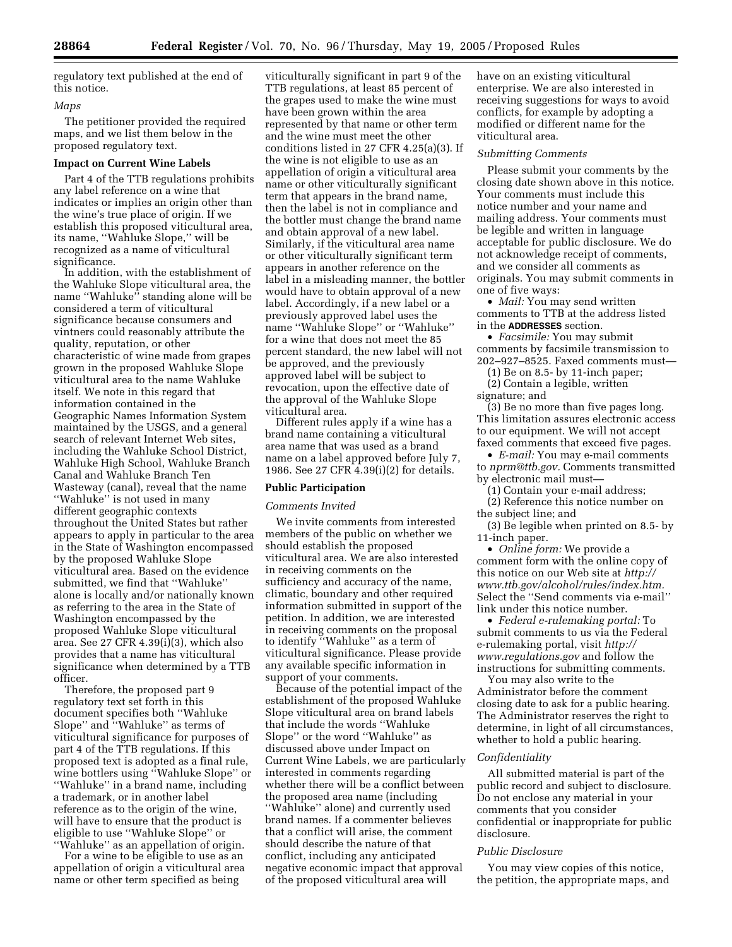regulatory text published at the end of this notice.

## *Maps*

The petitioner provided the required maps, and we list them below in the proposed regulatory text.

# **Impact on Current Wine Labels**

Part 4 of the TTB regulations prohibits any label reference on a wine that indicates or implies an origin other than the wine's true place of origin. If we establish this proposed viticultural area, its name, ''Wahluke Slope,'' will be recognized as a name of viticultural significance.

In addition, with the establishment of the Wahluke Slope viticultural area, the name ''Wahluke'' standing alone will be considered a term of viticultural significance because consumers and vintners could reasonably attribute the quality, reputation, or other characteristic of wine made from grapes grown in the proposed Wahluke Slope viticultural area to the name Wahluke itself. We note in this regard that information contained in the Geographic Names Information System maintained by the USGS, and a general search of relevant Internet Web sites, including the Wahluke School District, Wahluke High School, Wahluke Branch Canal and Wahluke Branch Ten Wasteway (canal), reveal that the name ''Wahluke'' is not used in many different geographic contexts throughout the United States but rather appears to apply in particular to the area in the State of Washington encompassed by the proposed Wahluke Slope viticultural area. Based on the evidence submitted, we find that ''Wahluke'' alone is locally and/or nationally known as referring to the area in the State of Washington encompassed by the proposed Wahluke Slope viticultural area. See 27 CFR 4.39(i)(3), which also provides that a name has viticultural significance when determined by a TTB officer.

Therefore, the proposed part 9 regulatory text set forth in this document specifies both ''Wahluke Slope'' and ''Wahluke'' as terms of viticultural significance for purposes of part 4 of the TTB regulations. If this proposed text is adopted as a final rule, wine bottlers using ''Wahluke Slope'' or ''Wahluke'' in a brand name, including a trademark, or in another label reference as to the origin of the wine, will have to ensure that the product is eligible to use ''Wahluke Slope'' or ''Wahluke'' as an appellation of origin.

For a wine to be eligible to use as an appellation of origin a viticultural area name or other term specified as being

viticulturally significant in part 9 of the TTB regulations, at least 85 percent of the grapes used to make the wine must have been grown within the area represented by that name or other term and the wine must meet the other conditions listed in 27 CFR 4.25(a)(3). If the wine is not eligible to use as an appellation of origin a viticultural area name or other viticulturally significant term that appears in the brand name, then the label is not in compliance and the bottler must change the brand name and obtain approval of a new label. Similarly, if the viticultural area name or other viticulturally significant term appears in another reference on the label in a misleading manner, the bottler would have to obtain approval of a new label. Accordingly, if a new label or a previously approved label uses the name ''Wahluke Slope'' or ''Wahluke'' for a wine that does not meet the 85 percent standard, the new label will not be approved, and the previously approved label will be subject to revocation, upon the effective date of the approval of the Wahluke Slope viticultural area.

Different rules apply if a wine has a brand name containing a viticultural area name that was used as a brand name on a label approved before July 7, 1986. See 27 CFR 4.39(i)(2) for details.

#### **Public Participation**

## *Comments Invited*

We invite comments from interested members of the public on whether we should establish the proposed viticultural area. We are also interested in receiving comments on the sufficiency and accuracy of the name, climatic, boundary and other required information submitted in support of the petition. In addition, we are interested in receiving comments on the proposal to identify ''Wahluke'' as a term of viticultural significance. Please provide any available specific information in support of your comments.

Because of the potential impact of the establishment of the proposed Wahluke Slope viticultural area on brand labels that include the words ''Wahluke Slope'' or the word ''Wahluke'' as discussed above under Impact on Current Wine Labels, we are particularly interested in comments regarding whether there will be a conflict between the proposed area name (including ''Wahluke'' alone) and currently used brand names. If a commenter believes that a conflict will arise, the comment should describe the nature of that conflict, including any anticipated negative economic impact that approval of the proposed viticultural area will

have on an existing viticultural enterprise. We are also interested in receiving suggestions for ways to avoid conflicts, for example by adopting a modified or different name for the viticultural area.

#### *Submitting Comments*

Please submit your comments by the closing date shown above in this notice. Your comments must include this notice number and your name and mailing address. Your comments must be legible and written in language acceptable for public disclosure. We do not acknowledge receipt of comments, and we consider all comments as originals. You may submit comments in one of five ways:

• *Mail:* You may send written comments to TTB at the address listed in the **ADDRESSES** section.

• *Facsimile:* You may submit comments by facsimile transmission to 202–927–8525. Faxed comments must—

(1) Be on 8.5- by 11-inch paper;

(2) Contain a legible, written signature; and

(3) Be no more than five pages long. This limitation assures electronic access to our equipment. We will not accept faxed comments that exceed five pages.

• *E-mail:* You may e-mail comments to *nprm@ttb.gov.* Comments transmitted by electronic mail must—

(1) Contain your e-mail address;

(2) Reference this notice number on the subject line; and

(3) Be legible when printed on 8.5- by 11-inch paper.

• *Online form:* We provide a comment form with the online copy of this notice on our Web site at *http:// www.ttb.gov/alcohol/rules/index.htm.* Select the ''Send comments via e-mail'' link under this notice number.

• *Federal e-rulemaking portal:* To submit comments to us via the Federal e-rulemaking portal, visit *http:// www.regulations.gov* and follow the instructions for submitting comments.

You may also write to the Administrator before the comment closing date to ask for a public hearing. The Administrator reserves the right to determine, in light of all circumstances, whether to hold a public hearing.

## *Confidentiality*

All submitted material is part of the public record and subject to disclosure. Do not enclose any material in your comments that you consider confidential or inappropriate for public disclosure.

#### *Public Disclosure*

You may view copies of this notice, the petition, the appropriate maps, and